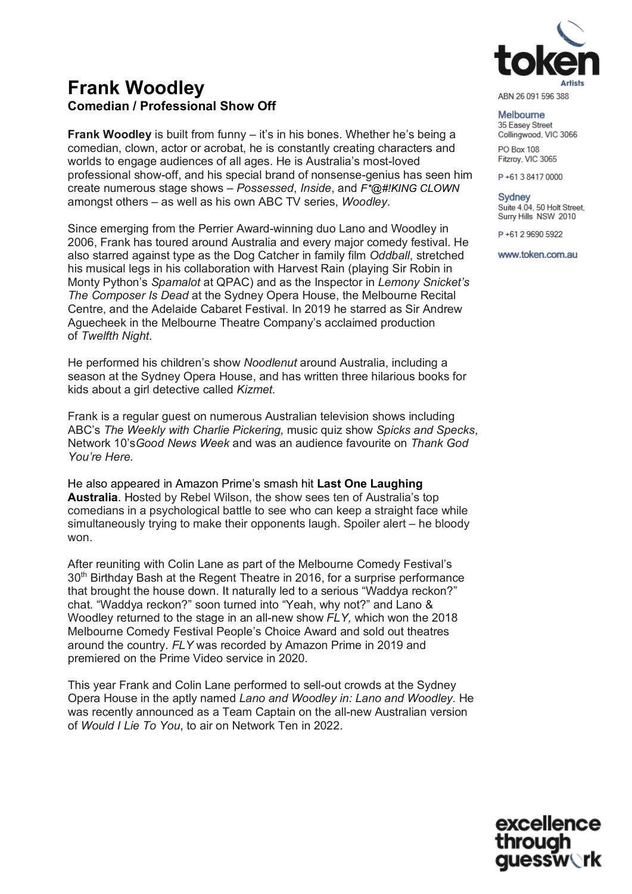

**Frank Woodley Comedian / Professional Show Off**

**Frank Woodley** is built from funny – it's in his bones. Whether he's being a comedian, clown, actor or acrobat, he is constantly creating characters and worlds to engage audiences of all ages. He is Australia's most-loved professional show-off, and his special brand of nonsense-genius has seen him create numerous stage shows – *Possessed*, *Inside*, and *F\*@#!KING CLOWN* amongst others – as well as his own ABC TV series, *Woodley*.

Since emerging from the Perrier Award-winning duo Lano and Woodley in 2006, Frank has toured around Australia and every major comedy festival. He also starred against type as the Dog Catcher in family film *Oddball*, stretched his musical legs in his collaboration with Harvest Rain (playing Sir Robin in Monty Python's *Spamalot* at QPAC) and as the Inspector in *Lemony Snicket's The Composer Is Dead* at the Sydney Opera House, the Melbourne Recital Centre, and the Adelaide Cabaret Festival. In 2019 he starred as Sir Andrew Aguecheek in the Melbourne Theatre Company's acclaimed production of *Twelfth Night*.

He performed his children's show *Noodlenut* around Australia, including a season at the Sydney Opera House, and has written three hilarious books for kids about a girl detective called *Kizmet.*

Frank is a regular guest on numerous Australian television shows including ABC's *The Weekly with Charlie Pickering,* music quiz show *Spicks and Specks*, Network 10's*Good News Week* and was an audience favourite on *Thank God You're Here.* 

He also appeared in Amazon Prime's smash hit **Last One Laughing Australia**. Hosted by Rebel Wilson, the show sees ten of Australia's top comedians in a psychological battle to see who can keep a straight face while simultaneously trying to make their opponents laugh. Spoiler alert – he bloody won.

After reuniting with Colin Lane as part of the Melbourne Comedy Festival's 30<sup>th</sup> Birthday Bash at the Regent Theatre in 2016, for a surprise performance that brought the house down. It naturally led to a serious "Waddya reckon?" chat. "Waddya reckon?" soon turned into "Yeah, why not?" and Lano & Woodley returned to the stage in an all-new show *FLY,* which won the 2018 Melbourne Comedy Festival People's Choice Award and sold out theatres around the country. *FLY* was recorded by Amazon Prime in 2019 and premiered on the Prime Video service in 2020.

This year Frank and Colin Lane performed to sell-out crowds at the Sydney Opera House in the aptly named *Lano and Woodley in: Lano and Woodley.* He was recently announced as a Team Captain on the all-new Australian version of *Would I Lie To You*, to air on Network Ten in 2022.

ABN 26 091 596 388

Melbourne 35 Easey Street Collingwood, VIC 3066 PO Box 108 Fitzroy, VIC 3065

P+61384170000

**Sydney** Suite 4.04, 50 Holt Street, Surry Hills NSW 2010

P+61 2 9690 5922

www.token.com.au

excellence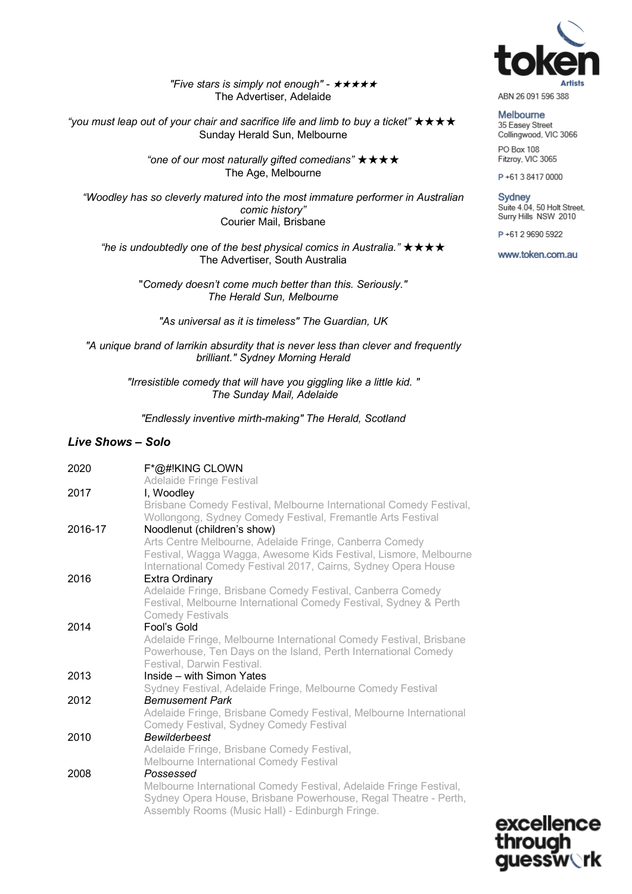

*"Five stars is simply not enough" -* ★★★★★ The Advertiser, Adelaide

"you must leap out of your chair and sacrifice life and limb to buy a ticket" **★ ★ ★ ★** Sunday Herald Sun, Melbourne

> *"one of our most naturally gifted comedians"* ★★★★ The Age, Melbourne

*"Woodley has so cleverly matured into the most immature performer in Australian comic history"* Courier Mail, Brisbane

*"he is undoubtedly one of the best physical comics in Australia."* ★★★★ The Advertiser, South Australia

"*Comedy doesn't come much better than this. Seriously." The Herald Sun, Melbourne*

*"As universal as it is timeless" The Guardian, UK*

*"A unique brand of larrikin absurdity that is never less than clever and frequently brilliant." Sydney Morning Herald*

> *"Irresistible comedy that will have you giggling like a little kid. " The Sunday Mail, Adelaide*

*"Endlessly inventive mirth-making" The Herald, Scotland*

#### *Live Shows – Solo*

| 2020    | F*@#!KING CLOWN<br><b>Adelaide Fringe Festival</b>                                                                                                                                                    |
|---------|-------------------------------------------------------------------------------------------------------------------------------------------------------------------------------------------------------|
| 2017    | I, Woodley                                                                                                                                                                                            |
|         | Brisbane Comedy Festival, Melbourne International Comedy Festival,<br>Wollongong, Sydney Comedy Festival, Fremantle Arts Festival                                                                     |
| 2016-17 | Noodlenut (children's show)                                                                                                                                                                           |
|         | Arts Centre Melbourne, Adelaide Fringe, Canberra Comedy<br>Festival, Wagga Wagga, Awesome Kids Festival, Lismore, Melbourne<br>International Comedy Festival 2017, Cairns, Sydney Opera House         |
| 2016    | Extra Ordinary                                                                                                                                                                                        |
|         | Adelaide Fringe, Brisbane Comedy Festival, Canberra Comedy<br>Festival, Melbourne International Comedy Festival, Sydney & Perth<br><b>Comedy Festivals</b>                                            |
| 2014    | Fool's Gold                                                                                                                                                                                           |
|         | Adelaide Fringe, Melbourne International Comedy Festival, Brisbane<br>Powerhouse, Ten Days on the Island, Perth International Comedy<br>Festival, Darwin Festival.                                    |
| 2013    | Inside - with Simon Yates                                                                                                                                                                             |
|         | Sydney Festival, Adelaide Fringe, Melbourne Comedy Festival                                                                                                                                           |
| 2012    | <b>Bemusement Park</b>                                                                                                                                                                                |
|         | Adelaide Fringe, Brisbane Comedy Festival, Melbourne International<br>Comedy Festival, Sydney Comedy Festival                                                                                         |
| 2010    | <b>Bewilderbeest</b>                                                                                                                                                                                  |
|         | Adelaide Fringe, Brisbane Comedy Festival,                                                                                                                                                            |
|         | Melbourne International Comedy Festival                                                                                                                                                               |
| 2008    | Possessed<br>Melbourne International Comedy Festival, Adelaide Fringe Festival,<br>Sydney Opera House, Brisbane Powerhouse, Regal Theatre - Perth,<br>Assembly Rooms (Music Hall) - Edinburgh Fringe. |

Melbourne 35 Easey Street Collingwood, VIC 3066 PO Box 108 Fitzroy, VIC 3065

P+61384170000

Sydney<br>Suite 4.04, 50 Holt Street, Surry Hills NSW 2010

P+61 2 9690 5922

www.token.com.au

excellence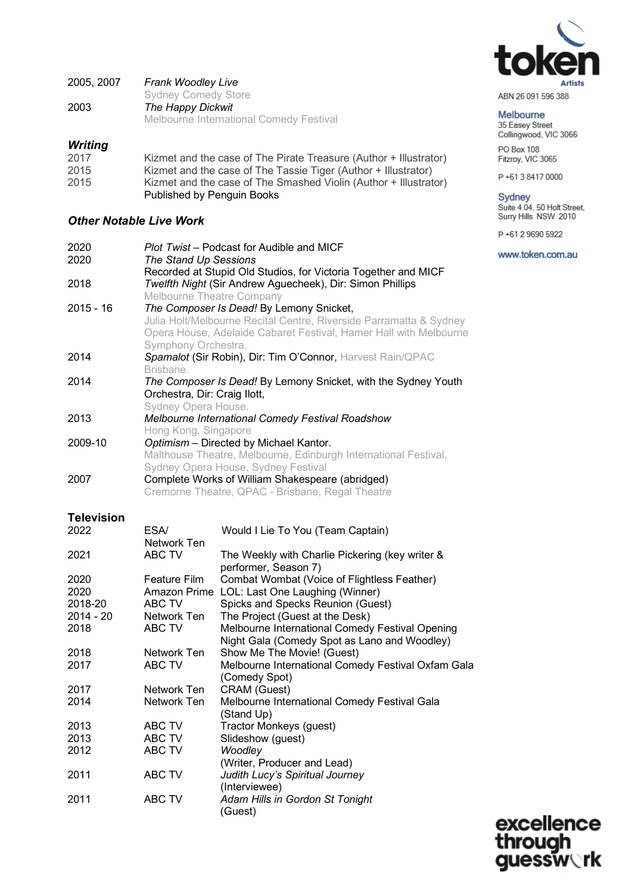

| 2005, 2007 | <b>Frank Woodley Live</b>                      |
|------------|------------------------------------------------|
|            | <b>Sydney Comedy Store</b>                     |
| 2003       | The Happy Dickwit                              |
|            | <b>Melbourne International Comedy Festival</b> |

# *Writing*

| 2017 | Kizmet and the case of The Pirate Treasure (Author + Illustrator) |
|------|-------------------------------------------------------------------|
| 2015 | Kizmet and the case of The Tassie Tiger (Author + Illustrator)    |
| 2015 | Kizmet and the case of The Smashed Violin (Author + Illustrator)  |
|      | Published by Penguin Books                                        |

# *Other Notable Live Work*

| Plot Twist – Podcast for Audible and MICF<br>The Stand Up Sessions |
|--------------------------------------------------------------------|
| Recorded at Stupid Old Studios, for Victoria Together and MICF     |
| Twelfth Night (Sir Andrew Aguecheek), Dir: Simon Phillips          |
| Melbourne Theatre Company                                          |
| The Composer Is Dead! By Lemony Snicket,                           |
| Julia Holt/Melbourne Recital Centre, Riverside Parramatta & Sydney |
| Opera House, Adelaide Cabaret Festival, Hamer Hall with Melbourne  |
| Symphony Orchestra.                                                |
| Spamalot (Sir Robin), Dir: Tim O'Connor, Harvest Rain/QPAC         |
| Brisbane.                                                          |
| The Composer Is Dead! By Lemony Snicket, with the Sydney Youth     |
| Orchestra, Dir: Craig Ilott,                                       |
| Sydney Opera House.                                                |
| <b>Melbourne International Comedy Festival Roadshow</b>            |
| Hong Kong, Singapore                                               |
| Optimism - Directed by Michael Kantor.                             |
| Malthouse Theatre, Melbourne, Edinburgh International Festival,    |
| Sydney Opera House, Sydney Festival                                |
| Complete Works of William Shakespeare (abridged)                   |
| Cremorne Theatre, QPAC - Brisbane, Regal Theatre                   |
|                                                                    |

# **Television**

| 2022      | ESA/                | Would I Lie To You (Team Captain)                  |
|-----------|---------------------|----------------------------------------------------|
|           | Network Ten         |                                                    |
| 2021      | ABC TV              | The Weekly with Charlie Pickering (key writer &    |
|           |                     | performer, Season 7)                               |
| 2020      | <b>Feature Film</b> | Combat Wombat (Voice of Flightless Feather)        |
| 2020      | Amazon Prime        | LOL: Last One Laughing (Winner)                    |
| 2018-20   | ABC TV              | Spicks and Specks Reunion (Guest)                  |
| 2014 - 20 | Network Ten         | The Project (Guest at the Desk)                    |
| 2018      | ABC TV              | Melbourne International Comedy Festival Opening    |
|           |                     | Night Gala (Comedy Spot as Lano and Woodley)       |
| 2018      | Network Ten         | Show Me The Movie! (Guest)                         |
| 2017      | ABC TV              | Melbourne International Comedy Festival Oxfam Gala |
|           |                     | (Comedy Spot)                                      |
| 2017      | Network Ten         | CRAM (Guest)                                       |
| 2014      | Network Ten         | Melbourne International Comedy Festival Gala       |
|           |                     | (Stand Up)                                         |
| 2013      | ABC TV              | Tractor Monkeys (guest)                            |
| 2013      | ABC TV              | Slideshow (guest)                                  |
| 2012      | ABC TV              | Woodley                                            |
|           |                     | (Writer, Producer and Lead)                        |
| 2011      | ABC TV              | Judith Lucy's Spiritual Journey                    |
|           |                     | (Interviewee)                                      |
| 2011      | ABC TV              | Adam Hills in Gordon St Tonight                    |
|           |                     | (Guest)                                            |

Melbourne

35 Easey Street<br>Collingwood, VIC 3066 PO Box 108 Fitzroy, VIC 3065

P+61384170000

Sydney<br>Suite 4.04, 50 Holt Street,<br>Surry Hills NSW 2010

P+61 2 9690 5922

www.token.com.au

excellence through uessw∖rk g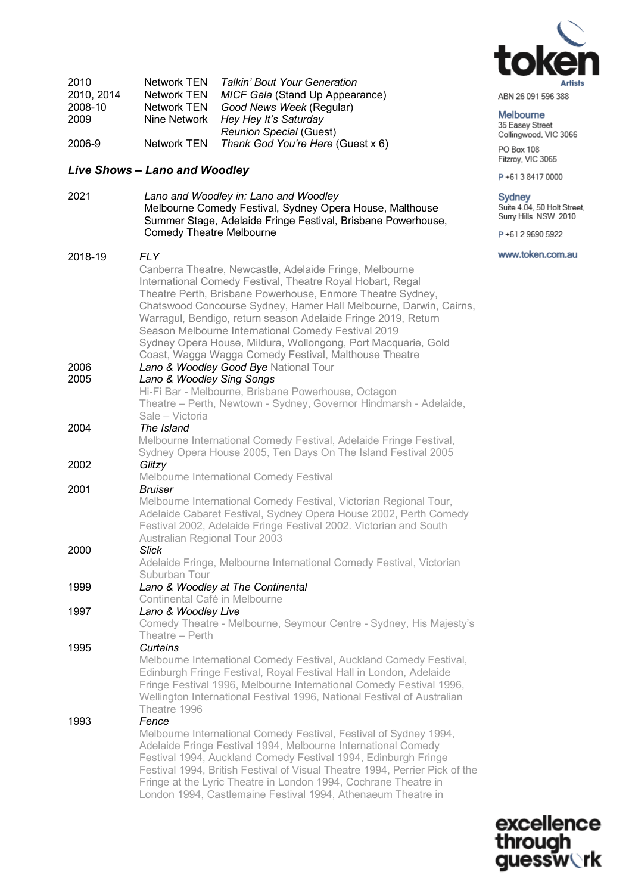

| ABN 26 091 596 388 |  |  |
|--------------------|--|--|
|                    |  |  |

#### Melbourne

35 Easey Street Collingwood, VIC 3066 PO Box 108

Fitzroy, VIC 3065

P+61384170000

#### Sydney

Suite 4.04, 50 Holt Street, Surry Hills NSW 2010

P+61 2 9690 5922

#### www.token.com.au

| 2010       | <b>Network TEN</b> | <b>Talkin' Bout Your Generation</b> |
|------------|--------------------|-------------------------------------|
| 2010, 2014 | <b>Network TEN</b> | MICF Gala (Stand Up Appearance)     |
| 2008-10    | <b>Network TEN</b> | Good News Week (Regular)            |
| 2009       | Nine Network       | Hey Hey It's Saturday               |
|            |                    | <b>Reunion Special (Guest)</b>      |
| 2006-9     | Network TEN        | Thank God You're Here (Guest x 6)   |

2021 *Lano and Woodley in: Lano and Woodley*

Comedy Theatre Melbourne

# *Live Shows – Lano and Woodley*

| 2018-19 | <b>FLY</b><br>Canberra Theatre, Newcastle, Adelaide Fringe, Melbourne<br>International Comedy Festival, Theatre Royal Hobart, Regal<br>Theatre Perth, Brisbane Powerhouse, Enmore Theatre Sydney,<br>Chatswood Concourse Sydney, Hamer Hall Melbourne, Darwin, Cairns,<br>Warragul, Bendigo, return season Adelaide Fringe 2019, Return<br>Season Melbourne International Comedy Festival 2019<br>Sydney Opera House, Mildura, Wollongong, Port Macquarie, Gold<br>Coast, Wagga Wagga Comedy Festival, Malthouse Theatre |
|---------|--------------------------------------------------------------------------------------------------------------------------------------------------------------------------------------------------------------------------------------------------------------------------------------------------------------------------------------------------------------------------------------------------------------------------------------------------------------------------------------------------------------------------|
| 2006    | Lano & Woodley Good Bye National Tour                                                                                                                                                                                                                                                                                                                                                                                                                                                                                    |
| 2005    | Lano & Woodley Sing Songs                                                                                                                                                                                                                                                                                                                                                                                                                                                                                                |
|         | Hi-Fi Bar - Melbourne, Brisbane Powerhouse, Octagon                                                                                                                                                                                                                                                                                                                                                                                                                                                                      |
|         | Theatre - Perth, Newtown - Sydney, Governor Hindmarsh - Adelaide,                                                                                                                                                                                                                                                                                                                                                                                                                                                        |
|         | Sale - Victoria                                                                                                                                                                                                                                                                                                                                                                                                                                                                                                          |
| 2004    | The Island                                                                                                                                                                                                                                                                                                                                                                                                                                                                                                               |
|         | Melbourne International Comedy Festival, Adelaide Fringe Festival,                                                                                                                                                                                                                                                                                                                                                                                                                                                       |
|         | Sydney Opera House 2005, Ten Days On The Island Festival 2005                                                                                                                                                                                                                                                                                                                                                                                                                                                            |
| 2002    | Glitzy                                                                                                                                                                                                                                                                                                                                                                                                                                                                                                                   |
|         | Melbourne International Comedy Festival                                                                                                                                                                                                                                                                                                                                                                                                                                                                                  |
| 2001    | <b>Bruiser</b>                                                                                                                                                                                                                                                                                                                                                                                                                                                                                                           |
|         | Melbourne International Comedy Festival, Victorian Regional Tour,<br>Adelaide Cabaret Festival, Sydney Opera House 2002, Perth Comedy<br>Festival 2002, Adelaide Fringe Festival 2002. Victorian and South<br><b>Australian Regional Tour 2003</b>                                                                                                                                                                                                                                                                       |
| 2000    | <b>Slick</b>                                                                                                                                                                                                                                                                                                                                                                                                                                                                                                             |
|         | Adelaide Fringe, Melbourne International Comedy Festival, Victorian<br>Suburban Tour                                                                                                                                                                                                                                                                                                                                                                                                                                     |
| 1999    | Lano & Woodley at The Continental                                                                                                                                                                                                                                                                                                                                                                                                                                                                                        |
|         | Continental Café in Melbourne                                                                                                                                                                                                                                                                                                                                                                                                                                                                                            |
| 1997    | Lano & Woodley Live                                                                                                                                                                                                                                                                                                                                                                                                                                                                                                      |
|         | Comedy Theatre - Melbourne, Seymour Centre - Sydney, His Majesty's                                                                                                                                                                                                                                                                                                                                                                                                                                                       |
|         | Theatre - Perth                                                                                                                                                                                                                                                                                                                                                                                                                                                                                                          |
| 1995    | Curtains                                                                                                                                                                                                                                                                                                                                                                                                                                                                                                                 |
|         | Melbourne International Comedy Festival, Auckland Comedy Festival,<br>Edinburgh Fringe Festival, Royal Festival Hall in London, Adelaide<br>Fringe Festival 1996, Melbourne International Comedy Festival 1996,<br>Wellington International Festival 1996, National Festival of Australian                                                                                                                                                                                                                               |

Melbourne Comedy Festival, Sydney Opera House, Malthouse Summer Stage, Adelaide Fringe Festival, Brisbane Powerhouse,

Theatre 1996 1993 *Fence* 

Melbourne International Comedy Festival, Festival of Sydney 1994, Adelaide Fringe Festival 1994, Melbourne International Comedy Festival 1994, Auckland Comedy Festival 1994, Edinburgh Fringe Festival 1994, British Festival of Visual Theatre 1994, Perrier Pick of the Fringe at the Lyric Theatre in London 1994, Cochrane Theatre in London 1994, Castlemaine Festival 1994, Athenaeum Theatre in

> excellence through **uessw** $\vee$ **rk**